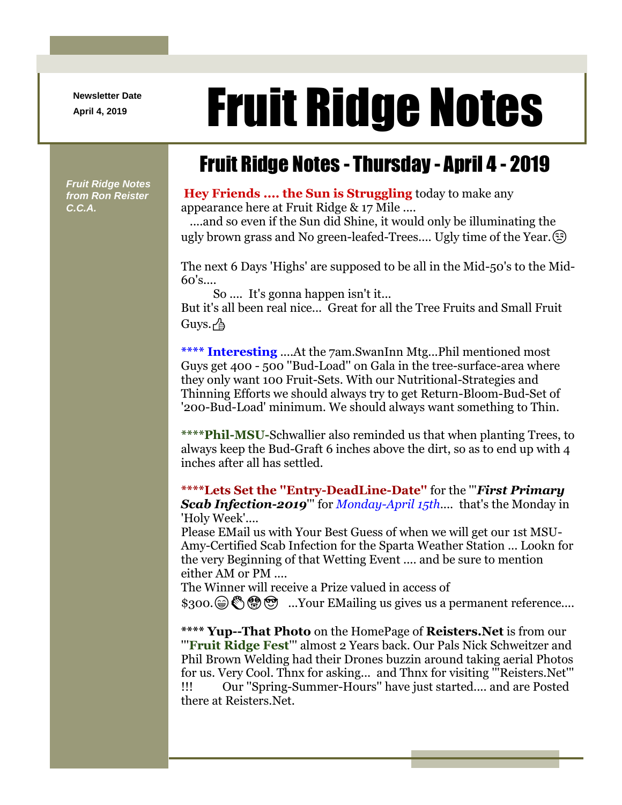**Newsletter Date**

## April 4, 2019 **Fruit Ridge Notes**

## Fruit Ridge Notes - Thursday - April 4 - 2019

*Fruit Ridge Notes from Ron Reister C.C.A.*

## **Hey Friends .... the Sun is Struggling** today to make any appearance here at Fruit Ridge & 17 Mile ....

....and so even if the Sun did Shine, it would only be illuminating the ugly brown grass and No green-leafed-Trees.... Ugly time of the Year.

The next 6 Days 'Highs' are supposed to be all in the Mid-50's to the Mid-60's....

So .... It's gonna happen isn't it... But it's all been real nice... Great for all the Tree Fruits and Small Fruit  $G$ uys. $\sim$ 

**\*\*\*\* Interesting** ....At the 7am.SwanInn Mtg...Phil mentioned most Guys get 400 - 500 ''Bud-Load'' on Gala in the tree-surface-area where they only want 100 Fruit-Sets. With our Nutritional-Strategies and Thinning Efforts we should always try to get Return-Bloom-Bud-Set of '200-Bud-Load' minimum. We should always want something to Thin.

**\*\*\*\*Phil-MSU-**Schwallier also reminded us that when planting Trees, to always keep the Bud-Graft 6 inches above the dirt, so as to end up with 4 inches after all has settled.

**\*\*\*\*Lets Set the ''Entry-DeadLine-Date''** for the '''*First Primary Scab Infection-2019*''' for *Monday-April 15th*.... that's the Monday in 'Holy Week'....

Please EMail us with Your Best Guess of when we will get our 1st MSU-Amy-Certified Scab Infection for the Sparta Weather Station ... Lookn for the very Beginning of that Wetting Event .... and be sure to mention either AM or PM ....

The Winner will receive a Prize valued in access of

 $$300.\n\circledast\mathbb{S} \circledast\mathbb{S}$  ...Your EMailing us gives us a permanent reference....

**\*\*\*\* Yup--That Photo** on the HomePage of **Reisters.Net** is from our '''**Fruit Ridge Fest**''' almost 2 Years back. Our Pals Nick Schweitzer and Phil Brown Welding had their Drones buzzin around taking aerial Photos for us. Very Cool. Thnx for asking... and Thnx for visiting '''Reisters.Net''' !!! Our ''Spring-Summer-Hours'' have just started.... and are Posted there at Reisters.Net.